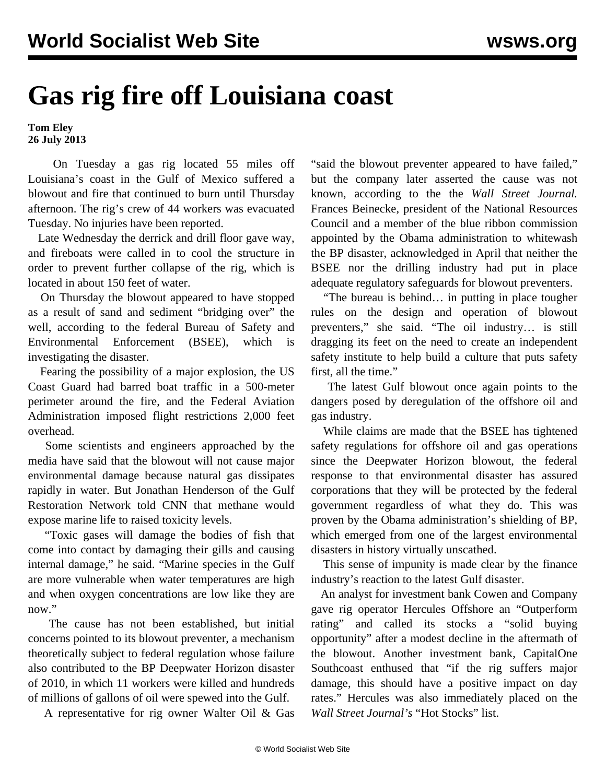## **Gas rig fire off Louisiana coast**

**Tom Eley 26 July 2013**

 On Tuesday a gas rig located 55 miles off Louisiana's coast in the Gulf of Mexico suffered a blowout and fire that continued to burn until Thursday afternoon. The rig's crew of 44 workers was evacuated Tuesday. No injuries have been reported.

 Late Wednesday the derrick and drill floor gave way, and fireboats were called in to cool the structure in order to prevent further collapse of the rig, which is located in about 150 feet of water.

 On Thursday the blowout appeared to have stopped as a result of sand and sediment "bridging over" the well, according to the federal Bureau of Safety and Environmental Enforcement (BSEE), which is investigating the disaster.

 Fearing the possibility of a major explosion, the US Coast Guard had barred boat traffic in a 500-meter perimeter around the fire, and the Federal Aviation Administration imposed flight restrictions 2,000 feet overhead.

 Some scientists and engineers approached by the media have said that the blowout will not cause major environmental damage because natural gas dissipates rapidly in water. But Jonathan Henderson of the Gulf Restoration Network told CNN that methane would expose marine life to raised toxicity levels.

 "Toxic gases will damage the bodies of fish that come into contact by damaging their gills and causing internal damage," he said. "Marine species in the Gulf are more vulnerable when water temperatures are high and when oxygen concentrations are low like they are now."

 The cause has not been established, but initial concerns pointed to its blowout preventer, a mechanism theoretically subject to federal regulation whose failure also contributed to the BP Deepwater Horizon disaster of 2010, in which 11 workers were killed and hundreds of millions of gallons of oil were spewed into the Gulf.

A representative for rig owner Walter Oil & Gas

"said the blowout preventer appeared to have failed," but the company later asserted the cause was not known, according to the the *Wall Street Journal.* Frances Beinecke, president of the National Resources Council and a member of the blue ribbon commission appointed by the Obama administration to whitewash the BP disaster, acknowledged in April that neither the BSEE nor the drilling industry had put in place adequate regulatory safeguards for blowout preventers.

 "The bureau is behind… in putting in place tougher rules on the design and operation of blowout preventers," she said. "The oil industry… is still dragging its feet on the need to create an independent safety institute to help build a culture that puts safety first, all the time."

 The latest Gulf blowout once again points to the dangers posed by deregulation of the offshore oil and gas industry.

 While claims are made that the BSEE has tightened safety regulations for offshore oil and gas operations since the Deepwater Horizon blowout, the federal response to that environmental disaster has assured corporations that they will be protected by the federal government regardless of what they do. This was proven by the Obama administration's shielding of BP, which emerged from one of the largest environmental disasters in history virtually unscathed.

 This sense of impunity is made clear by the finance industry's reaction to the latest Gulf disaster.

 An analyst for investment bank Cowen and Company gave rig operator Hercules Offshore an "Outperform rating" and called its stocks a "solid buying opportunity" after a modest decline in the aftermath of the blowout. Another investment bank, CapitalOne Southcoast enthused that "if the rig suffers major damage, this should have a positive impact on day rates." Hercules was also immediately placed on the *Wall Street Journal's* "Hot Stocks" list.